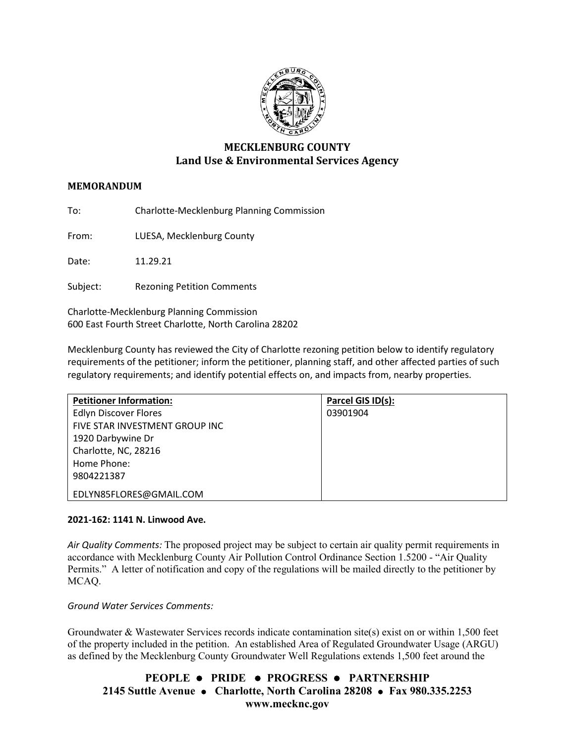

# **MECKLENBURG COUNTY Land Use & Environmental Services Agency**

## **MEMORANDUM**

To: Charlotte-Mecklenburg Planning Commission

From: LUESA, Mecklenburg County

Date: 11.29.21

Subject: Rezoning Petition Comments

Charlotte-Mecklenburg Planning Commission 600 East Fourth Street Charlotte, North Carolina 28202

Mecklenburg County has reviewed the City of Charlotte rezoning petition below to identify regulatory requirements of the petitioner; inform the petitioner, planning staff, and other affected parties of such regulatory requirements; and identify potential effects on, and impacts from, nearby properties.

| <b>Petitioner Information:</b> | Parcel GIS ID(s): |
|--------------------------------|-------------------|
| <b>Edlyn Discover Flores</b>   | 03901904          |
| FIVE STAR INVESTMENT GROUP INC |                   |
| 1920 Darbywine Dr              |                   |
| Charlotte, NC, 28216           |                   |
| Home Phone:                    |                   |
| 9804221387                     |                   |
| EDLYN85FLORES@GMAIL.COM        |                   |

### **2021-162: 1141 N. Linwood Ave.**

*Air Quality Comments:* The proposed project may be subject to certain air quality permit requirements in accordance with Mecklenburg County Air Pollution Control Ordinance Section 1.5200 - "Air Quality Permits." A letter of notification and copy of the regulations will be mailed directly to the petitioner by MCAQ.

*Ground Water Services Comments:* 

Groundwater & Wastewater Services records indicate contamination site(s) exist on or within 1,500 feet of the property included in the petition. An established Area of Regulated Groundwater Usage (ARGU) as defined by the Mecklenburg County Groundwater Well Regulations extends 1,500 feet around the

**PEOPLE PRIDE PROGRESS PARTNERSHIP 2145 Suttle Avenue Charlotte, North Carolina 28208 Fax 980.335.2253 www.mecknc.gov**